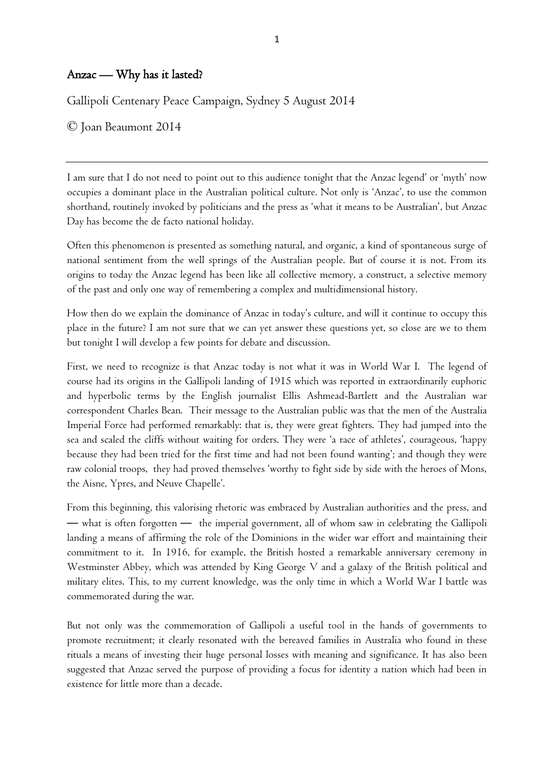## Anzac — Why has it lasted?

Gallipoli Centenary Peace Campaign, Sydney 5 August 2014

© Joan Beaumont 2014

I am sure that I do not need to point out to this audience tonight that the Anzac legend' or 'myth' now occupies a dominant place in the Australian political culture. Not only is 'Anzac', to use the common shorthand, routinely invoked by politicians and the press as 'what it means to be Australian', but Anzac Day has become the de facto national holiday.

Often this phenomenon is presented as something natural, and organic, a kind of spontaneous surge of national sentiment from the well springs of the Australian people. But of course it is not. From its origins to today the Anzac legend has been like all collective memory, a construct, a selective memory of the past and only one way of remembering a complex and multidimensional history.

How then do we explain the dominance of Anzac in today's culture, and will it continue to occupy this place in the future? I am not sure that we can yet answer these questions yet, so close are we to them but tonight I will develop a few points for debate and discussion.

First, we need to recognize is that Anzac today is not what it was in World War I. The legend of course had its origins in the Gallipoli landing of 1915 which was reported in extraordinarily euphoric and hyperbolic terms by the English journalist Ellis Ashmead-Bartlett and the Australian war correspondent Charles Bean. Their message to the Australian public was that the men of the Australia Imperial Force had performed remarkably: that is, they were great fighters. They had jumped into the sea and scaled the cliffs without waiting for orders. They were 'a race of athletes', courageous, 'happy because they had been tried for the first time and had not been found wanting'; and though they were raw colonial troops, they had proved themselves 'worthy to fight side by side with the heroes of Mons, the Aisne, Ypres, and Neuve Chapelle'.

From this beginning, this valorising rhetoric was embraced by Australian authorities and the press, and — what is often forgotten — the imperial government, all of whom saw in celebrating the Gallipoli landing a means of affirming the role of the Dominions in the wider war effort and maintaining their commitment to it. In 1916, for example, the British hosted a remarkable anniversary ceremony in Westminster Abbey, which was attended by King George V and a galaxy of the British political and military elites. This, to my current knowledge, was the only time in which a World War I battle was commemorated during the war.

But not only was the commemoration of Gallipoli a useful tool in the hands of governments to promote recruitment; it clearly resonated with the bereaved families in Australia who found in these rituals a means of investing their huge personal losses with meaning and significance. It has also been suggested that Anzac served the purpose of providing a focus for identity a nation which had been in existence for little more than a decade.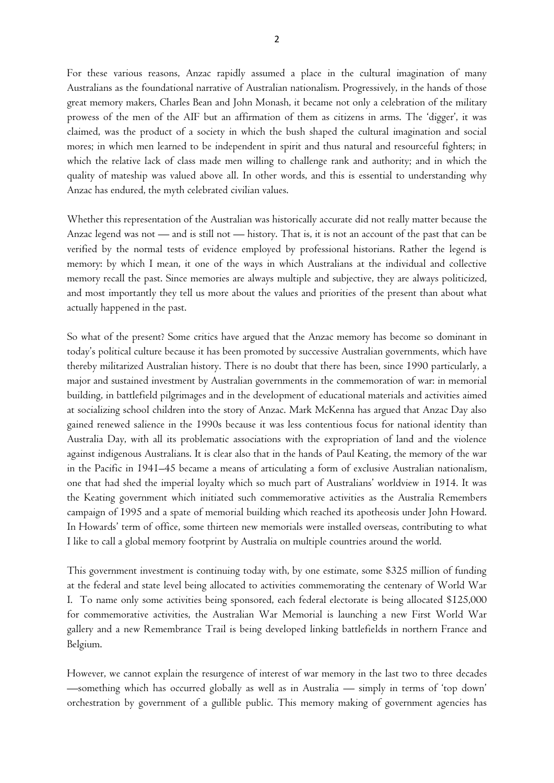For these various reasons, Anzac rapidly assumed a place in the cultural imagination of many Australians as the foundational narrative of Australian nationalism. Progressively, in the hands of those great memory makers, Charles Bean and John Monash, it became not only a celebration of the military prowess of the men of the AIF but an affirmation of them as citizens in arms. The 'digger', it was claimed, was the product of a society in which the bush shaped the cultural imagination and social mores; in which men learned to be independent in spirit and thus natural and resourceful fighters; in which the relative lack of class made men willing to challenge rank and authority; and in which the quality of mateship was valued above all. In other words, and this is essential to understanding why Anzac has endured, the myth celebrated civilian values.

Whether this representation of the Australian was historically accurate did not really matter because the Anzac legend was not — and is still not — history. That is, it is not an account of the past that can be verified by the normal tests of evidence employed by professional historians. Rather the legend is memory: by which I mean, it one of the ways in which Australians at the individual and collective memory recall the past. Since memories are always multiple and subjective, they are always politicized, and most importantly they tell us more about the values and priorities of the present than about what actually happened in the past.

So what of the present? Some critics have argued that the Anzac memory has become so dominant in today's political culture because it has been promoted by successive Australian governments, which have thereby militarized Australian history. There is no doubt that there has been, since 1990 particularly, a major and sustained investment by Australian governments in the commemoration of war: in memorial building, in battlefield pilgrimages and in the development of educational materials and activities aimed at socializing school children into the story of Anzac. Mark McKenna has argued that Anzac Day also gained renewed salience in the 1990s because it was less contentious focus for national identity than Australia Day, with all its problematic associations with the expropriation of land and the violence against indigenous Australians. It is clear also that in the hands of Paul Keating, the memory of the war in the Pacific in 1941–45 became a means of articulating a form of exclusive Australian nationalism, one that had shed the imperial loyalty which so much part of Australians' worldview in 1914. It was the Keating government which initiated such commemorative activities as the Australia Remembers campaign of 1995 and a spate of memorial building which reached its apotheosis under John Howard. In Howards' term of office, some thirteen new memorials were installed overseas, contributing to what I like to call a global memory footprint by Australia on multiple countries around the world.

This government investment is continuing today with, by one estimate, some \$325 million of funding at the federal and state level being allocated to activities commemorating the centenary of World War I. To name only some activities being sponsored, each federal electorate is being allocated \$125,000 for commemorative activities, the Australian War Memorial is launching a new First World War gallery and a new Remembrance Trail is being developed linking battlefields in northern France and Belgium.

However, we cannot explain the resurgence of interest of war memory in the last two to three decades —something which has occurred globally as well as in Australia — simply in terms of 'top down' orchestration by government of a gullible public. This memory making of government agencies has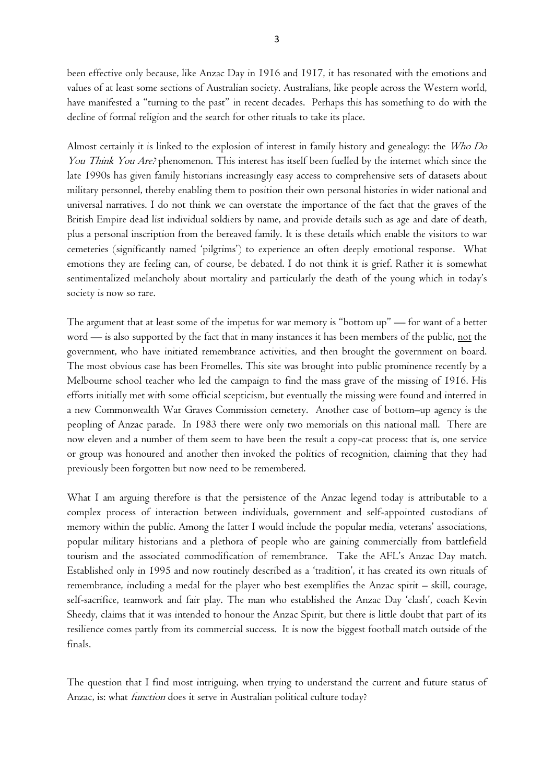been effective only because, like Anzac Day in 1916 and 1917, it has resonated with the emotions and values of at least some sections of Australian society. Australians, like people across the Western world, have manifested a "turning to the past" in recent decades. Perhaps this has something to do with the decline of formal religion and the search for other rituals to take its place.

Almost certainly it is linked to the explosion of interest in family history and genealogy: the Who Do You Think You Are? phenomenon. This interest has itself been fuelled by the internet which since the late 1990s has given family historians increasingly easy access to comprehensive sets of datasets about military personnel, thereby enabling them to position their own personal histories in wider national and universal narratives. I do not think we can overstate the importance of the fact that the graves of the British Empire dead list individual soldiers by name, and provide details such as age and date of death, plus a personal inscription from the bereaved family. It is these details which enable the visitors to war cemeteries (significantly named 'pilgrims') to experience an often deeply emotional response. What emotions they are feeling can, of course, be debated. I do not think it is grief. Rather it is somewhat sentimentalized melancholy about mortality and particularly the death of the young which in today's society is now so rare.

The argument that at least some of the impetus for war memory is "bottom up" — for want of a better word — is also supported by the fact that in many instances it has been members of the public, <u>not</u> the government, who have initiated remembrance activities, and then brought the government on board. The most obvious case has been Fromelles. This site was brought into public prominence recently by a Melbourne school teacher who led the campaign to find the mass grave of the missing of 1916. His efforts initially met with some official scepticism, but eventually the missing were found and interred in a new Commonwealth War Graves Commission cemetery. Another case of bottom–up agency is the peopling of Anzac parade. In 1983 there were only two memorials on this national mall. There are now eleven and a number of them seem to have been the result a copy-cat process: that is, one service or group was honoured and another then invoked the politics of recognition, claiming that they had previously been forgotten but now need to be remembered.

What I am arguing therefore is that the persistence of the Anzac legend today is attributable to a complex process of interaction between individuals, government and self-appointed custodians of memory within the public. Among the latter I would include the popular media, veterans' associations, popular military historians and a plethora of people who are gaining commercially from battlefield tourism and the associated commodification of remembrance. Take the AFL's Anzac Day match. Established only in 1995 and now routinely described as a 'tradition', it has created its own rituals of remembrance, including a medal for the player who best exemplifies the [Anzac spirit](http://en.wikipedia.org/wiki/Anzac_spirit) – skill, courage, self-sacrifice, teamwork and fair play. The man who established the Anzac Day 'clash', coach Kevin Sheedy, claims that it was intended to honour the Anzac Spirit, but there is little doubt that part of its resilience comes partly from its commercial success. It is now the biggest football match outside of the finals.

The question that I find most intriguing, when trying to understand the current and future status of Anzac, is: what *function* does it serve in Australian political culture today?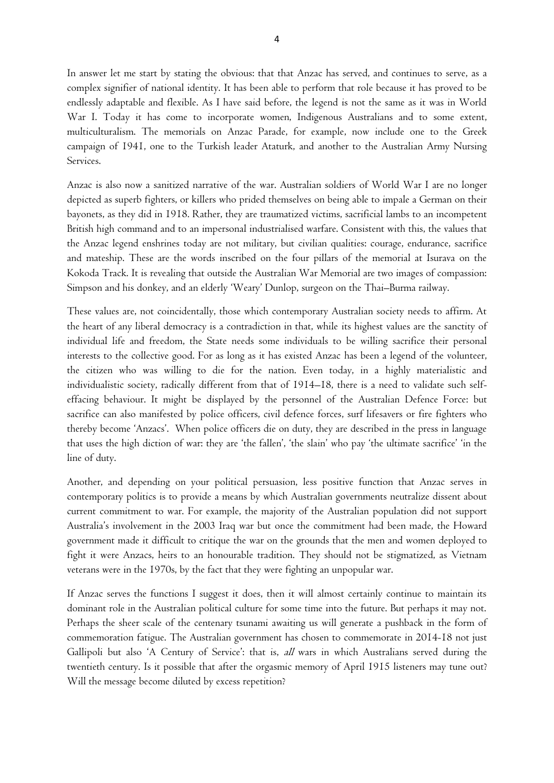In answer let me start by stating the obvious: that that Anzac has served, and continues to serve, as a complex signifier of national identity. It has been able to perform that role because it has proved to be endlessly adaptable and flexible. As I have said before, the legend is not the same as it was in World War I. Today it has come to incorporate women, Indigenous Australians and to some extent, multiculturalism. The memorials on Anzac Parade, for example, now include one to the Greek campaign of 1941, one to the Turkish leader Ataturk, and another to the Australian Army Nursing Services.

Anzac is also now a sanitized narrative of the war. Australian soldiers of World War I are no longer depicted as superb fighters, or killers who prided themselves on being able to impale a German on their bayonets, as they did in 1918. Rather, they are traumatized victims, sacrificial lambs to an incompetent British high command and to an impersonal industrialised warfare. Consistent with this, the values that the Anzac legend enshrines today are not military, but civilian qualities: courage, endurance, sacrifice and mateship. These are the words inscribed on the four pillars of the memorial at Isurava on the Kokoda Track. It is revealing that outside the Australian War Memorial are two images of compassion: Simpson and his donkey, and an elderly 'Weary' Dunlop, surgeon on the Thai–Burma railway.

These values are, not coincidentally, those which contemporary Australian society needs to affirm. At the heart of any liberal democracy is a contradiction in that, while its highest values are the sanctity of individual life and freedom, the State needs some individuals to be willing sacrifice their personal interests to the collective good. For as long as it has existed Anzac has been a legend of the volunteer, the citizen who was willing to die for the nation. Even today, in a highly materialistic and individualistic society, radically different from that of 1914–18, there is a need to validate such selfeffacing behaviour. It might be displayed by the personnel of the Australian Defence Force: but sacrifice can also manifested by police officers, civil defence forces, surf lifesavers or fire fighters who thereby become 'Anzacs'. When police officers die on duty, they are described in the press in language that uses the high diction of war: they are 'the fallen', 'the slain' who pay 'the ultimate sacrifice' 'in the line of duty.

Another, and depending on your political persuasion, less positive function that Anzac serves in contemporary politics is to provide a means by which Australian governments neutralize dissent about current commitment to war. For example, the majority of the Australian population did not support Australia's involvement in the 2003 Iraq war but once the commitment had been made, the Howard government made it difficult to critique the war on the grounds that the men and women deployed to fight it were Anzacs, heirs to an honourable tradition. They should not be stigmatized, as Vietnam veterans were in the 1970s, by the fact that they were fighting an unpopular war.

If Anzac serves the functions I suggest it does, then it will almost certainly continue to maintain its dominant role in the Australian political culture for some time into the future. But perhaps it may not. Perhaps the sheer scale of the centenary tsunami awaiting us will generate a pushback in the form of commemoration fatigue. The Australian government has chosen to commemorate in 2014-18 not just Gallipoli but also 'A Century of Service': that is, all wars in which Australians served during the twentieth century. Is it possible that after the orgasmic memory of April 1915 listeners may tune out? Will the message become diluted by excess repetition?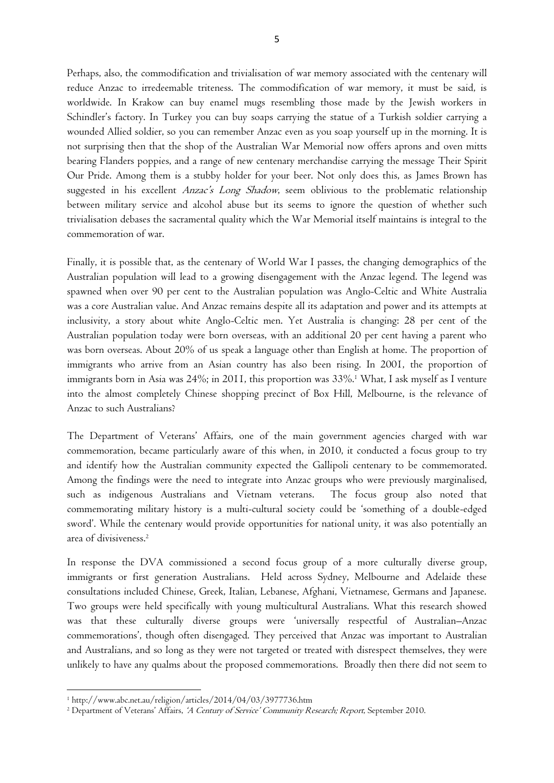Perhaps, also, the commodification and trivialisation of war memory associated with the centenary will reduce Anzac to irredeemable triteness. The commodification of war memory, it must be said, is worldwide. In Krakow can buy enamel mugs resembling those made by the Jewish workers in Schindler's factory. In Turkey you can buy soaps carrying the statue of a Turkish soldier carrying a wounded Allied soldier, so you can remember Anzac even as you soap yourself up in the morning. It is not surprising then that the shop of the Australian War Memorial now offers aprons and oven mitts bearing Flanders poppies, and a range of new centenary merchandise carrying the message Their Spirit Our Pride. Among them is a stubby holder for your beer. Not only does this, as James Brown has suggested in his excellent Anzac's Long Shadow, seem oblivious to the problematic relationship between military service and alcohol abuse but its seems to ignore the question of whether such trivialisation debases the sacramental quality which the War Memorial itself maintains is integral to the commemoration of war.

Finally, it is possible that, as the centenary of World War I passes, the changing demographics of the Australian population will lead to a growing disengagement with the Anzac legend. The legend was spawned when over 90 per cent to the Australian population was Anglo-Celtic and White Australia was a core Australian value. And Anzac remains despite all its adaptation and power and its attempts at inclusivity, a story about white Anglo-Celtic men. Yet Australia is changing: 28 per cent of the Australian population today were born overseas, with an additional 20 per cent having a parent who was born overseas. About 20% of us [speak a language other than English at home.](http://www.abs.gov.au/AUSSTATS/abs@.nsf/Lookup/4102.0Main+Features30April+2013#back3) The proportion of immigrants who arrive from an Asian country has also been rising. In 2001, [the proportion of](http://www.abs.gov.au/ausstats/abs@.nsf/Lookup/2071.0main+features902012-2013)  [immigrants born in Asia](http://www.abs.gov.au/ausstats/abs@.nsf/Lookup/2071.0main+features902012-2013) was 24%; in 2011, this proportion was 33%.<sup>1</sup> What, I ask myself as I venture into the almost completely Chinese shopping precinct of Box Hill, Melbourne, is the relevance of Anzac to such Australians?

The Department of Veterans' Affairs, one of the main government agencies charged with war commemoration, became particularly aware of this when, in 2010, it conducted a focus group to try and identify how the Australian community expected the Gallipoli centenary to be commemorated. Among the findings were the need to integrate into Anzac groups who were previously marginalised, such as indigenous Australians and Vietnam veterans. The focus group also noted that commemorating military history is a multi-cultural society could be 'something of a double-edged sword'. While the centenary would provide opportunities for national unity, it was also potentially an area of divisiveness. 2

In response the DVA commissioned a second focus group of a more culturally diverse group, immigrants or first generation Australians. Held across Sydney, Melbourne and Adelaide these consultations included Chinese, Greek, Italian, Lebanese, Afghani, Vietnamese, Germans and Japanese. Two groups were held specifically with young multicultural Australians. What this research showed was that these culturally diverse groups were 'universally respectful of Australian–Anzac commemorations', though often disengaged. They perceived that Anzac was important to Australian and Australians, and so long as they were not targeted or treated with disrespect themselves, they were unlikely to have any qualms about the proposed commemorations. Broadly then there did not seem to

 $\overline{a}$ 

<sup>1</sup> http://www.abc.net.au/religion/articles/2014/04/03/3977736.htm

<sup>&</sup>lt;sup>2</sup> Department of Veterans' Affairs, 'A Century of Service' Community Research; Report, September 2010.